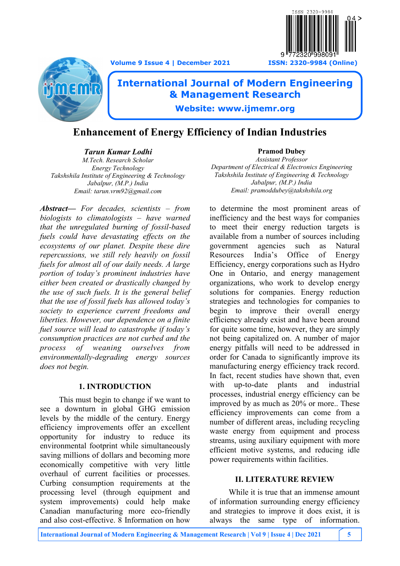**Volume 9 Issue 4 | December 2021 ISSN: 2320-9984 (Online)**





# **International Journal of Modern Engineering & Management Research**

**Website: www.ijmemr.org**

## **Enhancement of Energy Efficiency of Indian Industries**

*Tarun Kumar Lodhi M.Tech. Research Scholar Energy Technology Takshshila Institute of Engineering & Technology Jabalpur, (M.P.) India Email: tarun.vrm92@gmail.com*

*Abstract— For decades, scientists – from biologists to climatologists – have warned that the unregulated burning of fossil-based fuels could have devastating effects on the ecosystems of our planet. Despite these dire repercussions, we still rely heavily on fossil fuels for almost all of our daily needs. A large portion of today's prominent industries have either been created or drastically changed by the use of such fuels. It is the general belief that the use of fossil fuels has allowed today's society to experience current freedoms and liberties. However, our dependence on a finite fuel source will lead to catastrophe if today's consumption practices are not curbed and the process of weaning ourselves from environmentally-degrading energy sources does not begin.* 

### **1. INTRODUCTION**

This must begin to change if we want to see a downturn in global GHG emission levels by the middle of the century. Energy efficiency improvements offer an excellent opportunity for industry to reduce its environmental footprint while simultaneously saving millions of dollars and becoming more economically competitive with very little overhaul of current facilities or processes. Curbing consumption requirements at the processing level (through equipment and system improvements) could help make Canadian manufacturing more eco-friendly and also cost-effective. 8 Information on how

**Pramod Dubey** *Assistant Professor Department of Electrical & Electronics Engineering Takshshila Institute of Engineering & Technology Jabalpur, (M.P.) India Email: pramoddubey@takshshila.org*

to determine the most prominent areas of inefficiency and the best ways for companies to meet their energy reduction targets is available from a number of sources including government agencies such as Natural Resources India's Office of Energy Efficiency, energy corporations such as Hydro One in Ontario, and energy management organizations, who work to develop energy solutions for companies. Energy reduction strategies and technologies for companies to begin to improve their overall energy efficiency already exist and have been around for quite some time, however, they are simply not being capitalized on. A number of major energy pitfalls will need to be addressed in order for Canada to significantly improve its manufacturing energy efficiency track record. In fact, recent studies have shown that, even with up-to-date plants and industrial processes, industrial energy efficiency can be improved by as much as 20% or more.. These efficiency improvements can come from a number of different areas, including recycling waste energy from equipment and process streams, using auxiliary equipment with more efficient motive systems, and reducing idle power requirements within facilities.

### **II. LITERATURE REVIEW**

While it is true that an immense amount of information surrounding energy efficiency and strategies to improve it does exist, it is always the same type of information.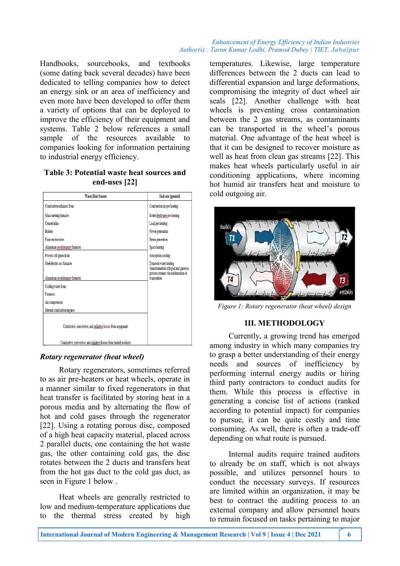#### *Enhancement of Energy Efficiency of Indian Industries Author(s) : Tarun Kumar Lodhi, Pramod Dubey | TIET, Jabalpur*

Handbooks, sourcebooks, and textbooks (some dating back several decades) have been dedicated to telling companies how to detect an energy sink or an area of inefficiency and even more have been developed to offer them a variety of options that can be deployed to improve the efficiency of their equipment and systems. Table 2 below references a small sample of the resources available to companies looking for information pertaining to industrial energy efficiency.

#### **Table 3: Potential waste heat sources and end-uses [22]**

| <b>Waste Heat Source</b>                                          | End-use (general)                                                                                     |
|-------------------------------------------------------------------|-------------------------------------------------------------------------------------------------------|
| Combustion exhausts from:                                         | Combustion air pre-heating                                                                            |
| Glass melting furnaces                                            | Boiler feedwater pre-heating                                                                          |
| <b>Cement kilns</b>                                               | Load pre-heating                                                                                      |
| <b>Boilers</b>                                                    | Power generation                                                                                      |
| Fume incinerators                                                 | Steam generation                                                                                      |
| Aluminum reverberatory furnaces                                   | Space heating                                                                                         |
| Process off-gases from:                                           | Absorption cooling                                                                                    |
| Steel electric arc formaces                                       | Domestic water heating<br>Transformation of liquid and gaseous<br>process streams via condensation or |
| Aluminum reverberatory furnaces                                   | evaporation                                                                                           |
| Cooling water from:                                               |                                                                                                       |
| Furnaces                                                          |                                                                                                       |
| Air compressors                                                   |                                                                                                       |
| Internal combustion engines                                       |                                                                                                       |
| Conductive, convective, and radiative losses from equipment       |                                                                                                       |
| Conductive, convective, and radiative losses from heated products |                                                                                                       |

### *Rotary regenerator (heat wheel)*

Rotary regenerators, sometimes referred to as air pre-heaters or heat wheels, operate in a manner similar to fixed regenerators in that heat transfer is facilitated by storing heat in a porous media and by alternating the flow of hot and cold gases through the regenerator [22]. Using a rotating porous disc, composed of a high heat capacity material, placed across 2 parallel ducts, one containing the hot waste gas, the other containing cold gas, the disc rotates between the 2 ducts and transfers heat from the hot gas duct to the cold gas duct, as seen in Figure 1 below .

Heat wheels are generally restricted to low and medium-temperature applications due to the thermal stress created by high

temperatures. Likewise, large temperature differences between the 2 ducts can lead to differential expansion and large deformations, compromising the integrity of duct wheel air seals [22]. Another challenge with heat wheels is preventing cross contamination between the 2 gas streams, as contaminants can be transported in the wheel's porous material. One advantage of the heat wheel is that it can be designed to recover moisture as well as heat from clean gas streams [22]. This makes heat wheels particularly useful in air conditioning applications, where incoming hot humid air transfers heat and moisture to cold outgoing air.



*Figure 1: Rotary regenerator (heat wheel) design* 

### **III. METHODOLOGY**

Currently, a growing trend has emerged among industry in which many companies try to grasp a better understanding of their energy needs and sources of inefficiency by performing internal energy audits or hiring third party contractors to conduct audits for them. While this process is effective in generating a concise list of actions (ranked according to potential impact) for companies to pursue, it can be quite costly and time consuming. As well, there is often a trade-off depending on what route is pursued.

Internal audits require trained auditors to already be on staff, which is not always possible, and utilizes personnel hours to conduct the necessary surveys. If resources are limited within an organization, it may be best to contract the auditing process to an external company and allow personnel hours to remain focused on tasks pertaining to major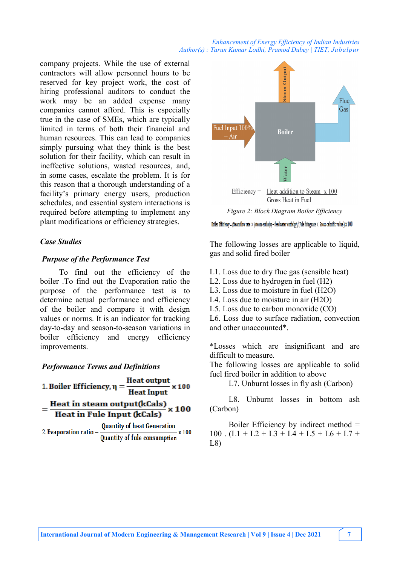#### *Enhancement of Energy Efficiency of Indian Industries Author(s) : Tarun Kumar Lodhi, Pramod Dubey | TIET, Jabalpur*

company projects. While the use of external contractors will allow personnel hours to be reserved for key project work, the cost of hiring professional auditors to conduct the work may be an added expense many companies cannot afford. This is especially true in the case of SMEs, which are typically limited in terms of both their financial and human resources. This can lead to companies simply pursuing what they think is the best solution for their facility, which can result in ineffective solutions, wasted resources, and, in some cases, escalate the problem. It is for this reason that a thorough understanding of a facility's primary energy users, production schedules, and essential system interactions is required before attempting to implement any plant modifications or efficiency strategies.

#### *Case Studies*

#### *Purpose of the Performance Test*

To find out the efficiency of the boiler .To find out the Evaporation ratio the purpose of the performance test is to determine actual performance and efficiency of the boiler and compare it with design values or norms. It is an indicator for tracking day-to-day and season-to-season variations in boiler efficiency and energy efficiency improvements.

#### *Performance Terms and Definitions*





*Figure 2: Block Diagram Boiler Efficiency*

Boiler Efficiency = (Steam flow rate X (steam enthalpy - feed water enthelpy)/(Fule firing rate X Gross calorific value) X 100

The following losses are applicable to liquid, gas and solid fired boiler

- L1. Loss due to dry flue gas (sensible heat)
- L2. Loss due to hydrogen in fuel (H2)
- L3. Loss due to moisture in fuel (H2O)
- L4. Loss due to moisture in air (H2O)
- L5. Loss due to carbon monoxide (CO)

L6. Loss due to surface radiation, convection and other unaccounted\*.

\*Losses which are insignificant and are difficult to measure.

The following losses are applicable to solid fuel fired boiler in addition to above

L7. Unburnt losses in fly ash (Carbon)

L8. Unburnt losses in bottom ash (Carbon)

Boiler Efficiency by indirect method =  $100$ .  $(L1 + L2 + L3 + L4 + L5 + L6 + L7 +$ L8)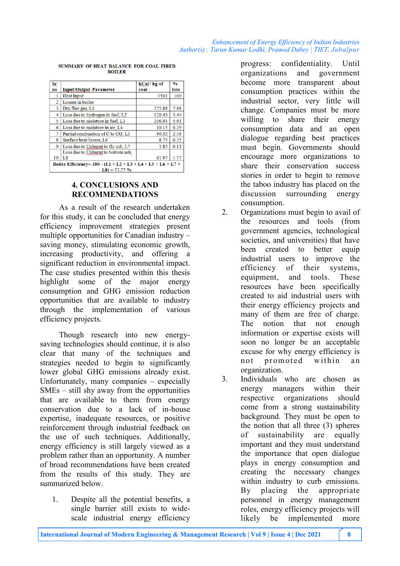| Sr.                                                            |                                    | kCal/kg of | $\frac{0}{0}$ |  |
|----------------------------------------------------------------|------------------------------------|------------|---------------|--|
| no.                                                            | <b>Input/Output Parameter</b>      | coal       | loss          |  |
|                                                                | <b>Heat Input</b>                  | 3501       | 100           |  |
| 2                                                              | Losses in boiler                   |            |               |  |
| 3                                                              | Dry flue gas, L1                   | 275.88     | 7.88          |  |
| 4                                                              | Loss due to hydrogen in fuel, L2   | 120.43     | 3.44          |  |
| 5                                                              | Loss due to moisture in fuel, L3   | 206.91     | 5.91          |  |
| 6                                                              | Loss due to moisture in air, L4    | 10.15      | 0.29          |  |
| 7                                                              | Partial combustion of C to CO, L5  | 90.32      | 2.58          |  |
| 8                                                              | Surface heat losses, L6            | 8.75       | 0.25          |  |
| 9                                                              | Loss due to Unburnt in fly ash, L7 | 3.85       | 0.11          |  |
|                                                                | Loss due to Unburnt in bottom ash, |            |               |  |
| 10                                                             | L8                                 | 61.97      | 1.77          |  |
| Boiler Efficiency= $100 - (L1 + L2 + L3 + L4 + L5 + L6 + L7 +$ |                                    |            |               |  |
|                                                                | $L8 = 77.77%$                      |            |               |  |

SUMMARY OF HEAT BALANCE FOR COAL FIRED **BOILER** 

#### **4. CONCLUSIONS AND RECOMMENDATIONS**

As a result of the research undertaken for this study, it can be concluded that energy efficiency improvement strategies present multiple opportunities for Canadian industry – saving money, stimulating economic growth, increasing productivity, and offering a significant reduction in environmental impact. The case studies presented within this thesis highlight some of the major energy consumption and GHG emission reduction opportunities that are available to industry through the implementation of various efficiency projects.

Though research into new energysaving technologies should continue, it is also clear that many of the techniques and strategies needed to begin to significantly lower global GHG emissions already exist. Unfortunately, many companies – especially SMEs – still shy away from the opportunities that are available to them from energy conservation due to a lack of in-house expertise, inadequate resources, or positive reinforcement through industrial feedback on the use of such techniques. Additionally, energy efficiency is still largely viewed as a problem rather than an opportunity. A number of broad recommendations have been created from the results of this study. They are summarized below.

1. Despite all the potential benefits, a single barrier still exists to widescale industrial energy efficiency

progress: confidentiality. Until organizations and government become more transparent about consumption practices within the industrial sector, very little will change. Companies must be more willing to share their energy consumption data and an open dialogue regarding best practices must begin. Governments should encourage more organizations to share their conservation success stories in order to begin to remove the taboo industry has placed on the discussion surrounding energy consumption.

- 2. Organizations must begin to avail of the resources and tools (from government agencies, technological societies, and universities) that have been created to better equip industrial users to improve the efficiency of their systems, equipment, and tools. These resources have been specifically created to aid industrial users with their energy efficiency projects and many of them are free of charge. The notion that not enough information or expertise exists will soon no longer be an acceptable excuse for why energy efficiency is not promoted within an organization.
- 3. Individuals who are chosen as energy managers within their respective organizations should come from a strong sustainability background. They must be open to the notion that all three (3) spheres of sustainability are equally important and they must understand the importance that open dialogue plays in energy consumption and creating the necessary changes within industry to curb emissions. By placing the appropriate personnel in energy management roles, energy efficiency projects will likely be implemented more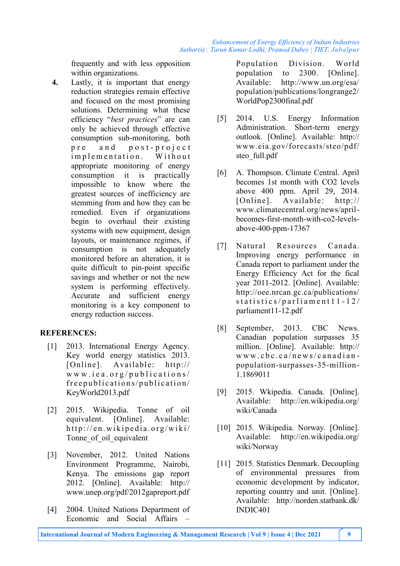frequently and with less opposition within organizations.

**4.** Lastly, it is important that energy reduction strategies remain effective and focused on the most promising solutions. Determining what these efficiency "*best practices*" are can only be achieved through effective consumption sub-monitoring, both pre and post-project implementation. Without appropriate monitoring of energy consumption it is practically impossible to know where the greatest sources of inefficiency are stemming from and how they can be remedied. Even if organizations begin to overhaul their existing systems with new equipment, design layouts, or maintenance regimes, if consumption is not adequately monitored before an alteration, it is quite difficult to pin-point specific savings and whether or not the new system is performing effectively. Accurate and sufficient energy monitoring is a key component to energy reduction success.

### **REFERENCES:**

- [1] 2013. International Energy Agency. Key world energy statistics 2013. [Online]. Available: http://  $w \, w \, w \, .$  i e a . or g/publications/ free publications/publication/ KeyWorld2013.pdf
- [2] 2015. Wikipedia. Tonne of oil equivalent. [Online]. Available: http://en.wikipedia.org/wiki/ Tonne of oil equivalent
- [3] November, 2012. United Nations Environment Programme, Nairobi, Kenya. The emissions gap report 2012. [Online]. Available: http:// www.unep.org/pdf/2012gapreport.pdf
- [4] 2004. United Nations Department of Economic and Social Affairs

Population Division. World population to 2300. [Online]. Available: http://www.un.org/esa/ population/publications/longrange2/ WorldPop2300final.pdf

- [5] 2014. U.S. Energy Information Administration. Short-term energy outlook. [Online]. Available: http:// www.eia.gov/forecasts/steo/pdf/ steo full.pdf
- [6] A. Thompson. Climate Central. April becomes 1st month with CO2 levels above 400 ppm. April 29, 2014. [Online]. Available: http:// www.climatecentral.org/news/aprilbecomes-first-month-with-co2-levelsabove-400-ppm-17367
- [7] Natural Resources Canada. Improving energy performance in Canada report to parliament under the Energy Efficiency Act for the fical year 2011-2012. [Online]. Available: http://oee.nrcan.gc.ca/publications/  $statistics / partialment 11 - 12/$ parliament11-12.pdf
- [8] September, 2013. CBC News. Canadian population surpasses 35 million. [Online]. Available: http:// w w w . c b c . c a / n e w s / c a n a d i a n population-surpasses-35-million-1.1869011
- [9] 2015. Wkipedia. Canada. [Online]. Available: http://en.wikipedia.org/ wiki/Canada
- [10] 2015. Wikipedia. Norway. [Online]. Available: http://en.wikipedia.org/ wiki/Norway
- [11] 2015. Statistics Denmark. Decoupling of environmental pressures from economic development by indicator, reporting country and unit. [Online]. Available: http://norden.statbank.dk/ INDIC401